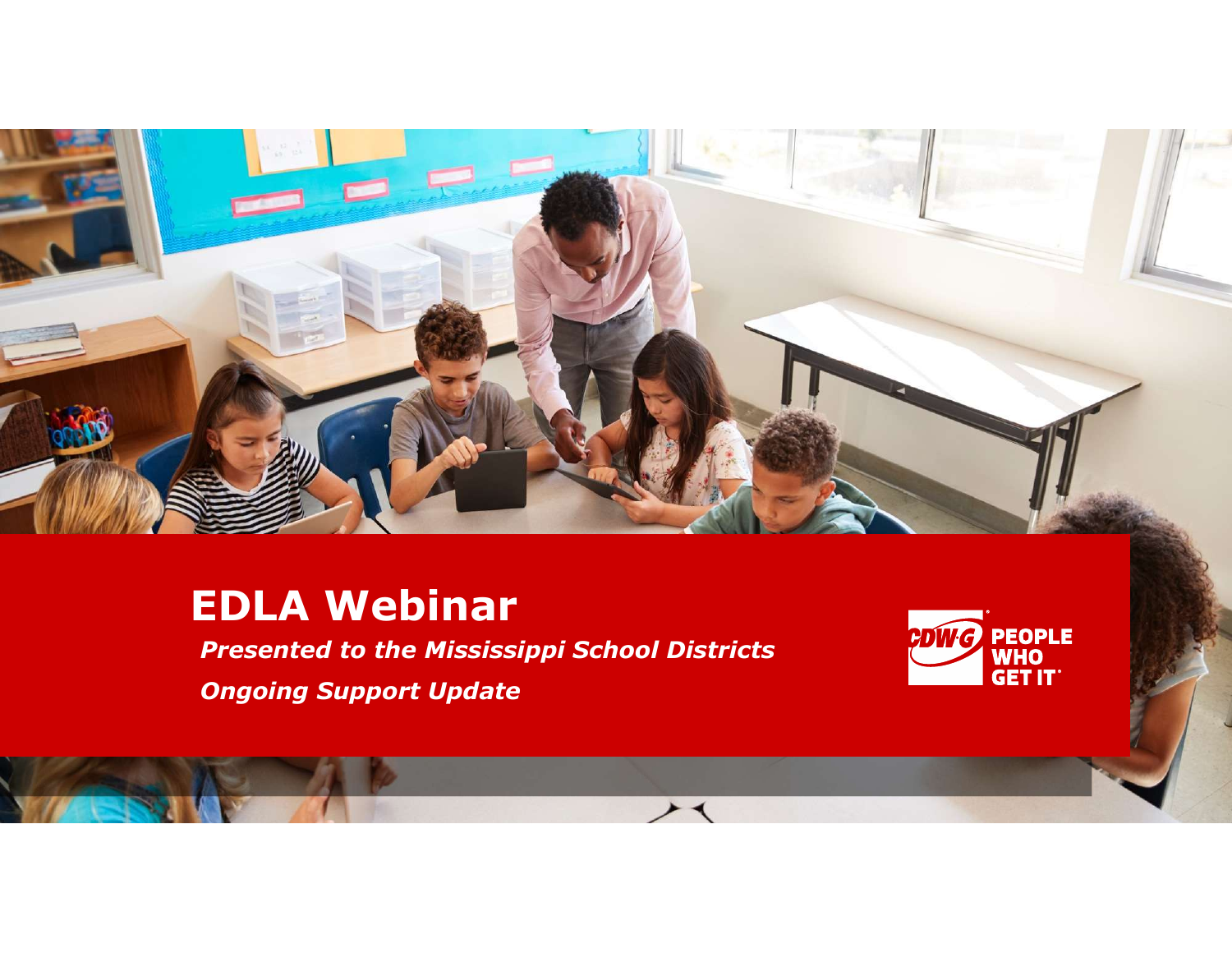

 $\overline{\phantom{1}}$ 

# EDLA Webinar

**Presented to the Mississippi School Districts**<br> **Presented to the Mississippi School Districts**<br> **Changing Support Undate** Ongoing Support Update

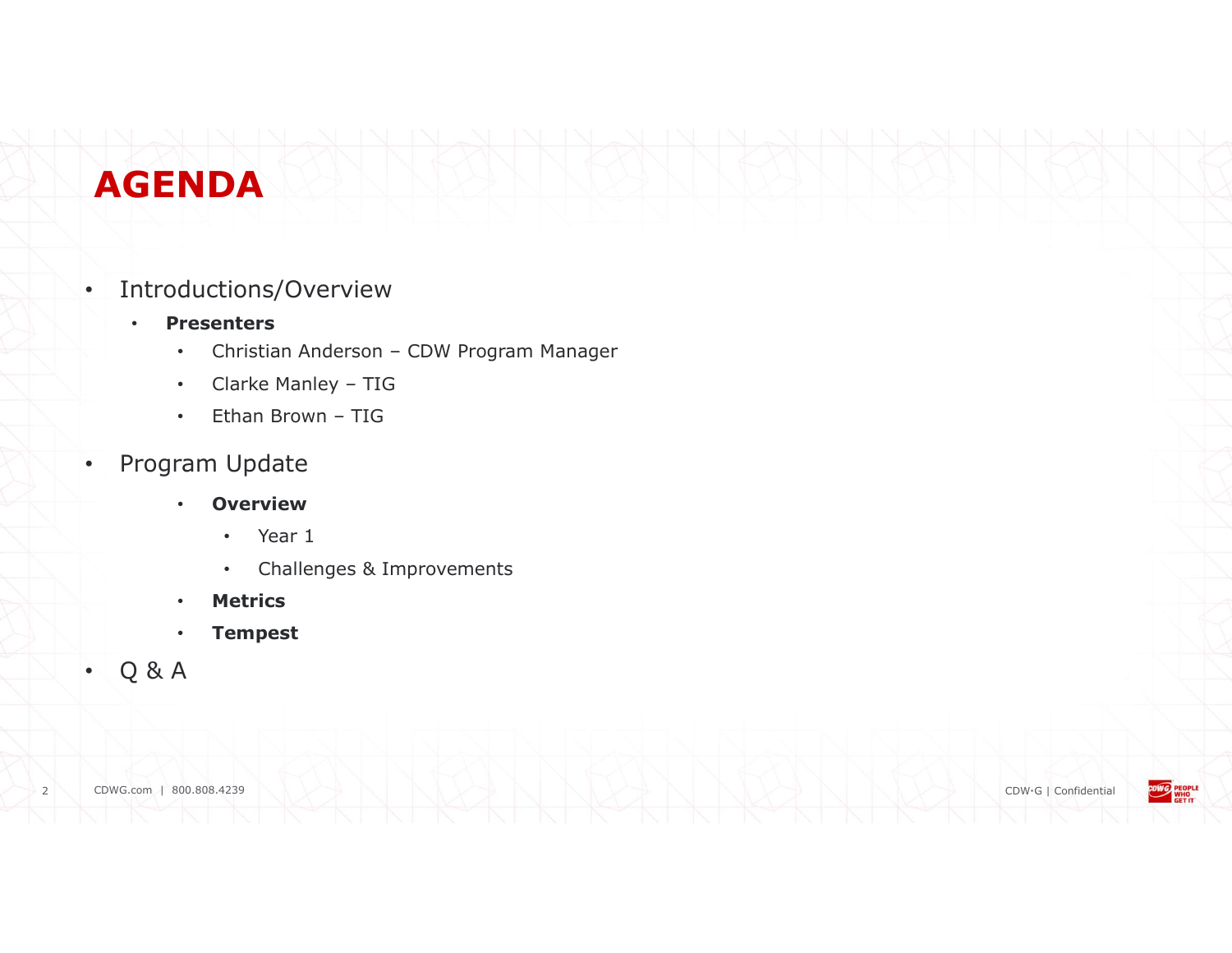# AGENDA

#### • Introductions/Overview

- Presenters
- **Christian Anderson CDW Program Manager<br>• Christian Anderson CDW Program Manager<br>• Clarke Manley TIG<br>• Ethan Brown TIG NDA**<br>
ductions/Overview<br>
resenters<br>
• Christian Anderson – CDW Program Manager<br>
• Clarke Manley – TIG<br>
• Ethan Brown – TIG<br>
• Than Brown – TIG<br>
• TIG<br>
• Than Brown – TIG **CONTRANSISED AND AND AND AND AND AND ANNOUNT CONTRANSIST CONTRANSIST CONTRANSIST AND A SERVER AND A SERVER AND A SERVER AND A SERVER AND A SERVER AND A SERVER AND THE CONTRANSIST OF A SERVER AND A SERVER AND A SERVER AND** 
	-
	-
- Program Update
	- Overview
		- Year 1
		- Challenges & Improvements
	- **Metrics**
	- Tempest
- Q & A

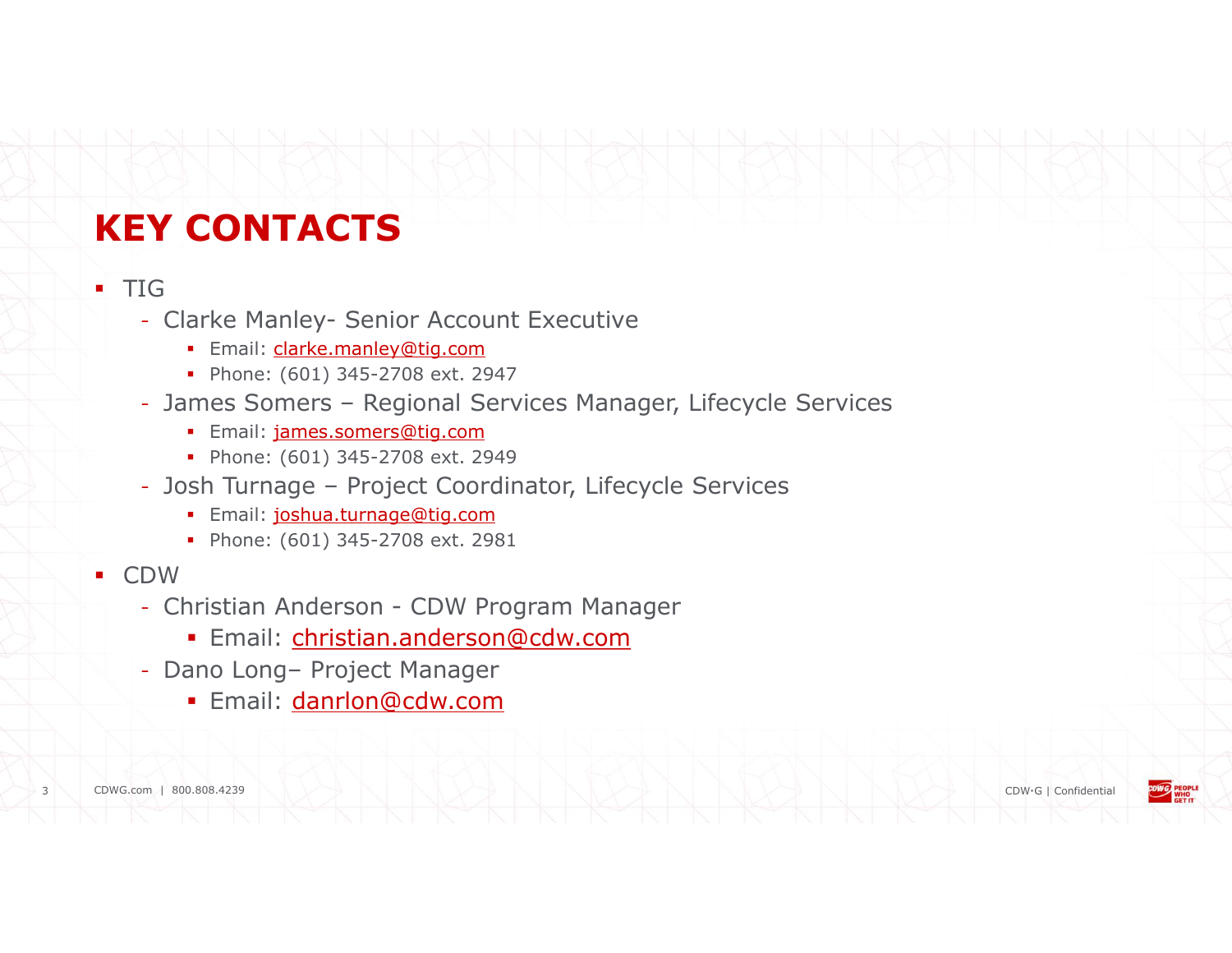# KEY CONTACTS

#### $-TIG$

- - **Email:** clarke.manley@tig.com
	- Phone: (601) 345-2708 ext. 2947
- <sup>2</sup><br> **EXECUTE:**<br> **CONTACTS**<br>
 Clarke Manley- Senior Account Executive<br>
 Email: <u>clarke manley@tig.com</u><br>
 Phone: (601) 345-2708 ext. 2947<br>
 James Somers Regional Services Manager, Lifecycle Services **Example 2014**<br> **CONTACTS**<br>
- Clarke Manley- Senior Account Executive<br>
- Regional Services (601) 345-2708 ext.<br>
- Phone: (601) 345-2708 ext.<br>
- James Somers – Regional Services Manager, Lifecycle Services<br>
- Email: <u>James </u> **EXECONTACTS**<br> **CONTACTS**<br>
- Clarke Manley-Senior Account Executive<br>
- Fmail: darke manley@tig.com<br>
- Phone: (601) 345-2708 ext. 2947<br>
- James Somers – Regional Services Manager, Lifecycle Services<br>
- Email: <u>iames somers@</u> **EXAMPLE CONTACTS**<br>
For Clarke Manley-Senior Account Executive<br>
Fhone: (601) 345-2708 ext. 2947<br> **Phone: (601) 345-2708 ext. 2949**<br> **Phone: (601) 345-2708 ext. 2949**<br> **Phone: (601) 345-2708 ext. 2949**<br> **Phone: (601) 345-27** IG<br>
- Clarke Manley-Senior Account Executive<br>
- Email: <u>clarke.manley@tiq.com</u><br>
- Phone: (601) 345-2708 ext. 2947<br>
- James Somers – Regional Services Manager, Lifecycle Services<br>
- Email: <u>james.somers@tiq.com</u><br>
- Dohe: (6
	- **Email: james.somers@tig.com**
	- Phone: (601) 345-2708 ext. 2949
- - **Email:** joshua.turnage@tig.com
	- Phone: (601) 345-2708 ext. 2981
- CDW and the control of the control of the control of the control of the control of the control of the control of the control of the control of the control of the control of the control of the control of the control of t
	- -
	- -

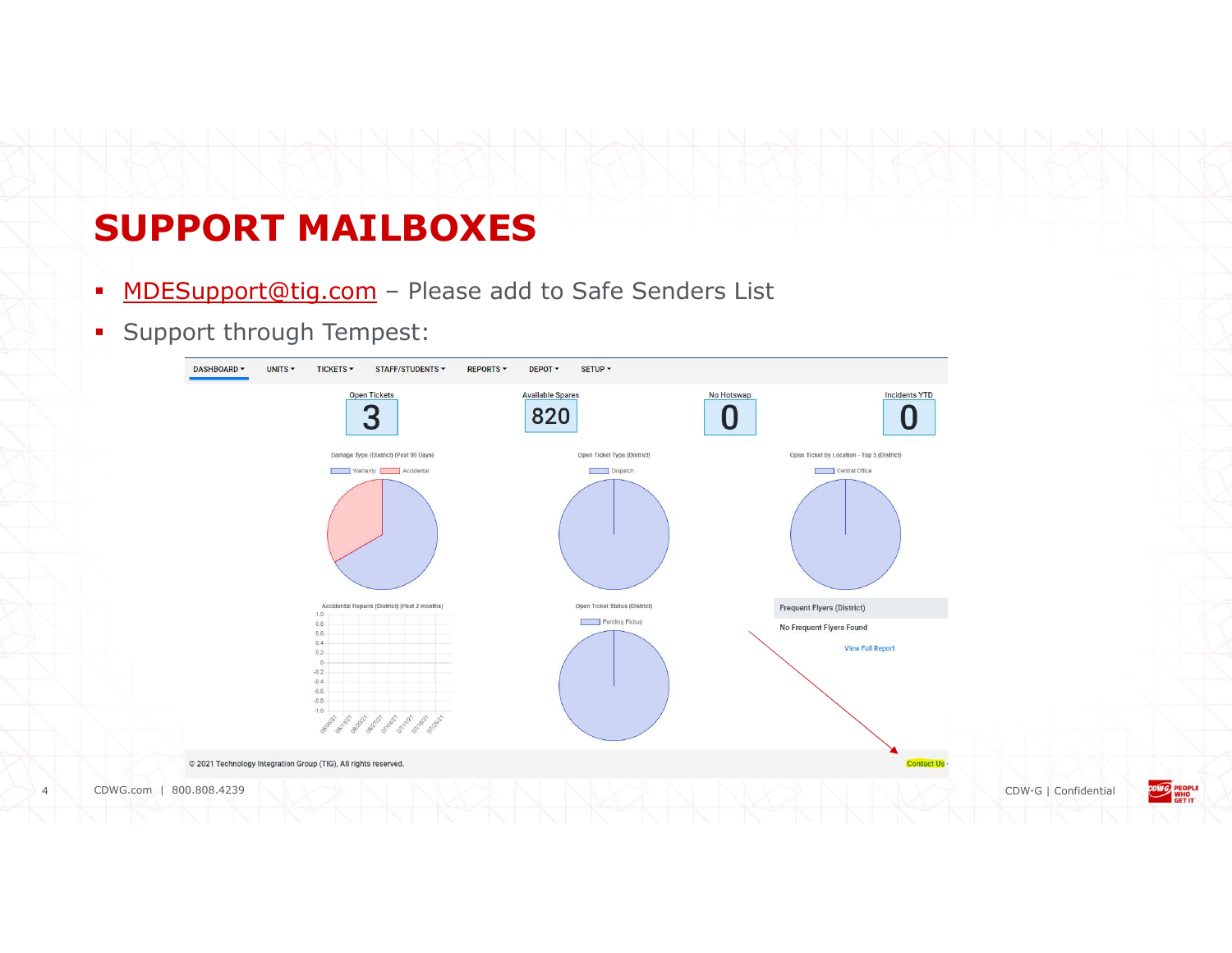# SUPPORT MAILBOXES

- 
- 

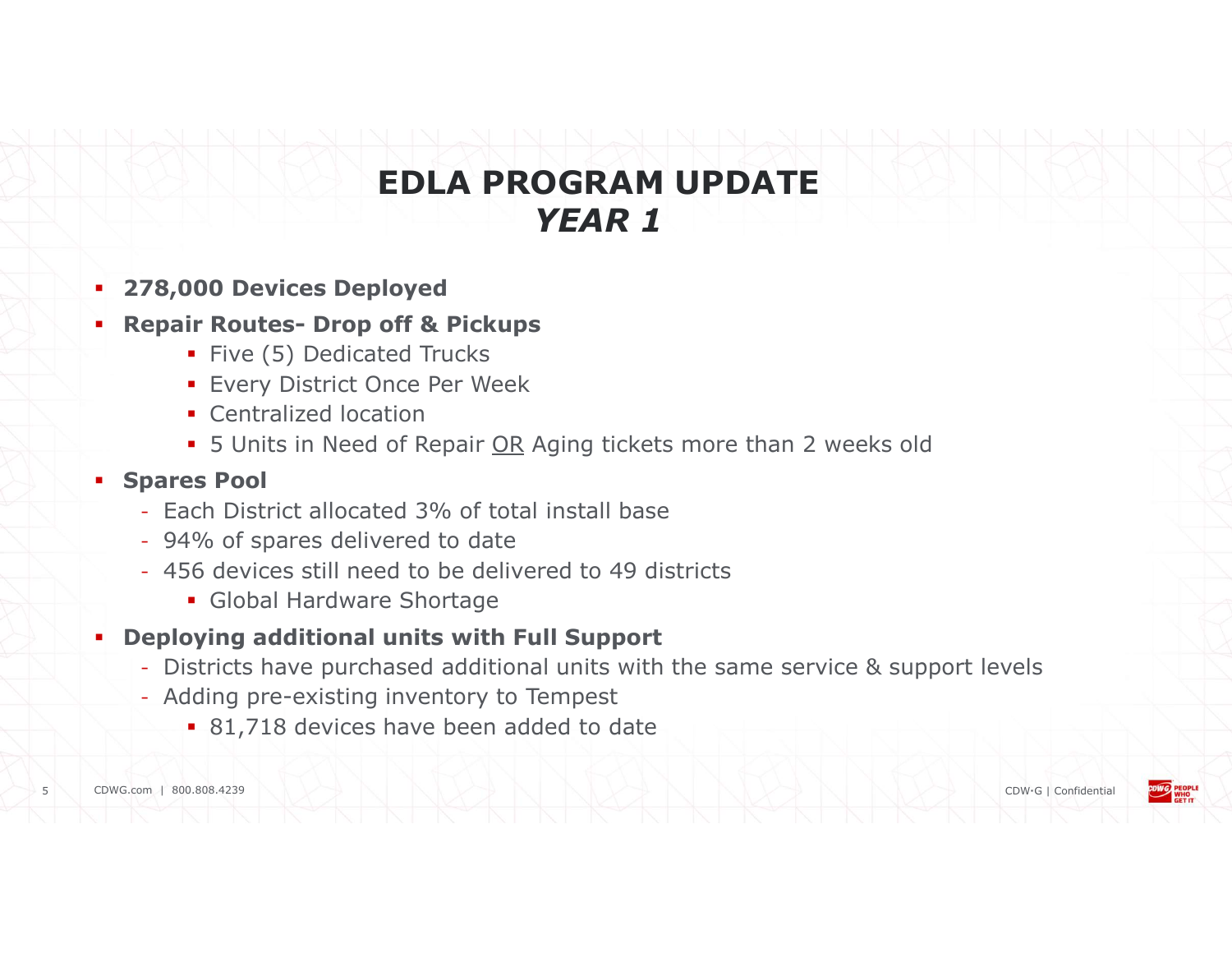# **EDLA PROGRAM UPDATE**<br> **EDLA PROGRAM UPDATE**<br> **PEAR 1**<br> **Repair Routes- Drop off & Pickups<br>
Five (5) Dedicated Trucks<br>
• Every District Once Per Week<br>
• Centralized location EDLA PROGRAM UPDATE**<br> **FEAR 1**<br> **SEAR 1**<br> **SEAR 1**<br> **ENGES UPP ON THE SEAR PROGRAM UPDATE**<br> **FEAR 1**<br> **ENGES UPP OF THE SEAR PROGRAM**<br> **ENGES UPP OF THE SEARCE MORE CONSERVER CONSERVER CONSERVER CONSIDER PROM**<br> **EXAMPLE S** EDLA PROGRAM UPDATE YEAR 1

#### 278,000 Devices Deployed

- Five (5) Dedicated Trucks
- **Every District Once Per Week**
- **Centralized location**
- 

#### **Spares Pool**

- Each District allocated 3% of total install base
- 94% of spares delivered to date
- 456 devices still need to be delivered to 49 districts
	- **Global Hardware Shortage**
- Deploying additional units with Full Support
	- Districts have purchased additional units with the same service & support levels
	- Adding pre-existing inventory to Tempest
		- 81,718 devices have been added to date

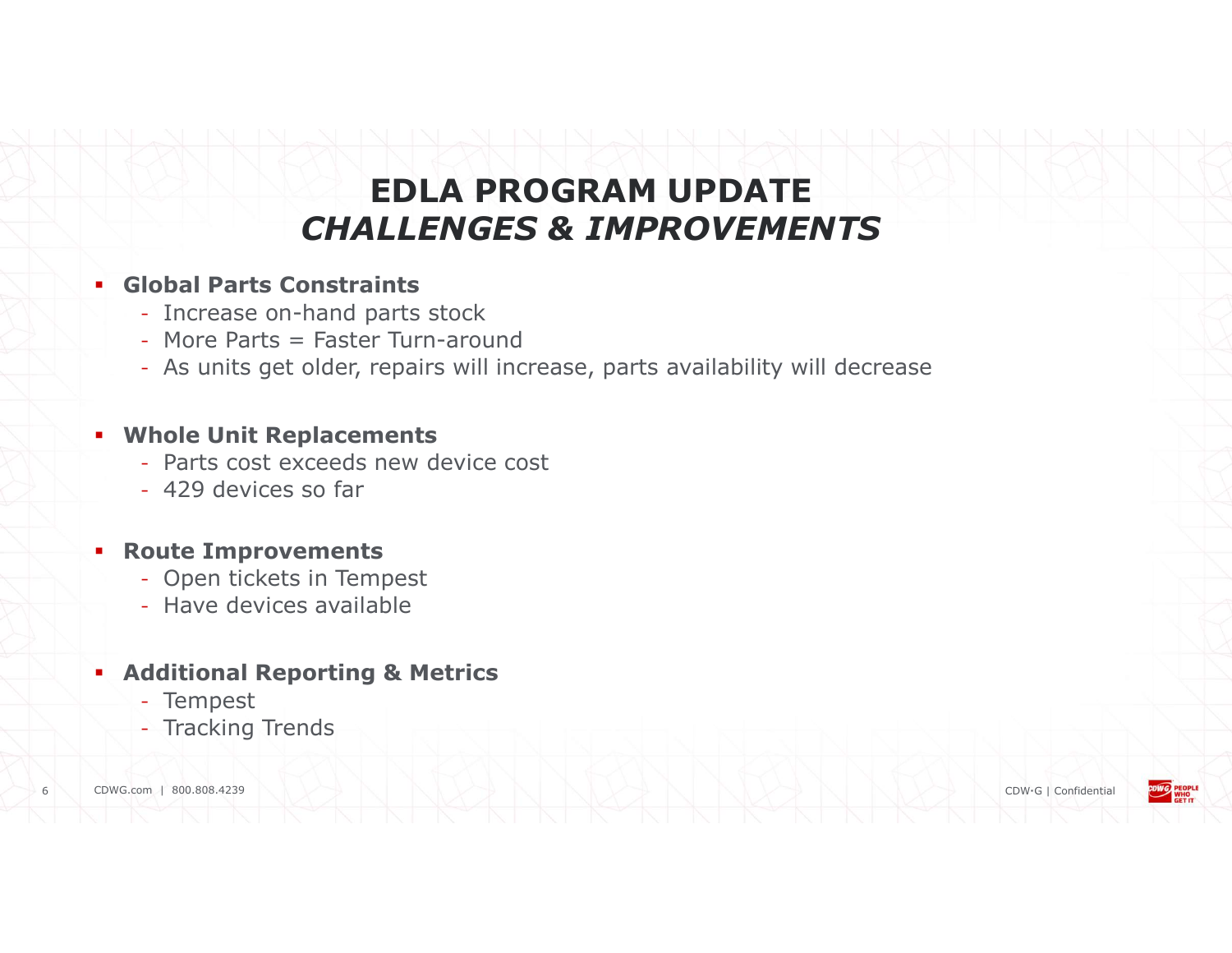# EDLA PROGRAM UPDATE CHALLENGES & IMPROVEMENTS

#### Global Parts Constraints

- Increase on-hand parts stock
- More Parts = Faster Turn-around
- As units get older, repairs will increase, parts availability will decrease

#### Whole Unit Replacements

- Parts cost exceeds new device cost
- 429 devices so far

#### Route Improvements

- Open tickets in Tempest
- Have devices available

#### **Additional Reporting & Metrics**

- Tempest
- Tracking Trends

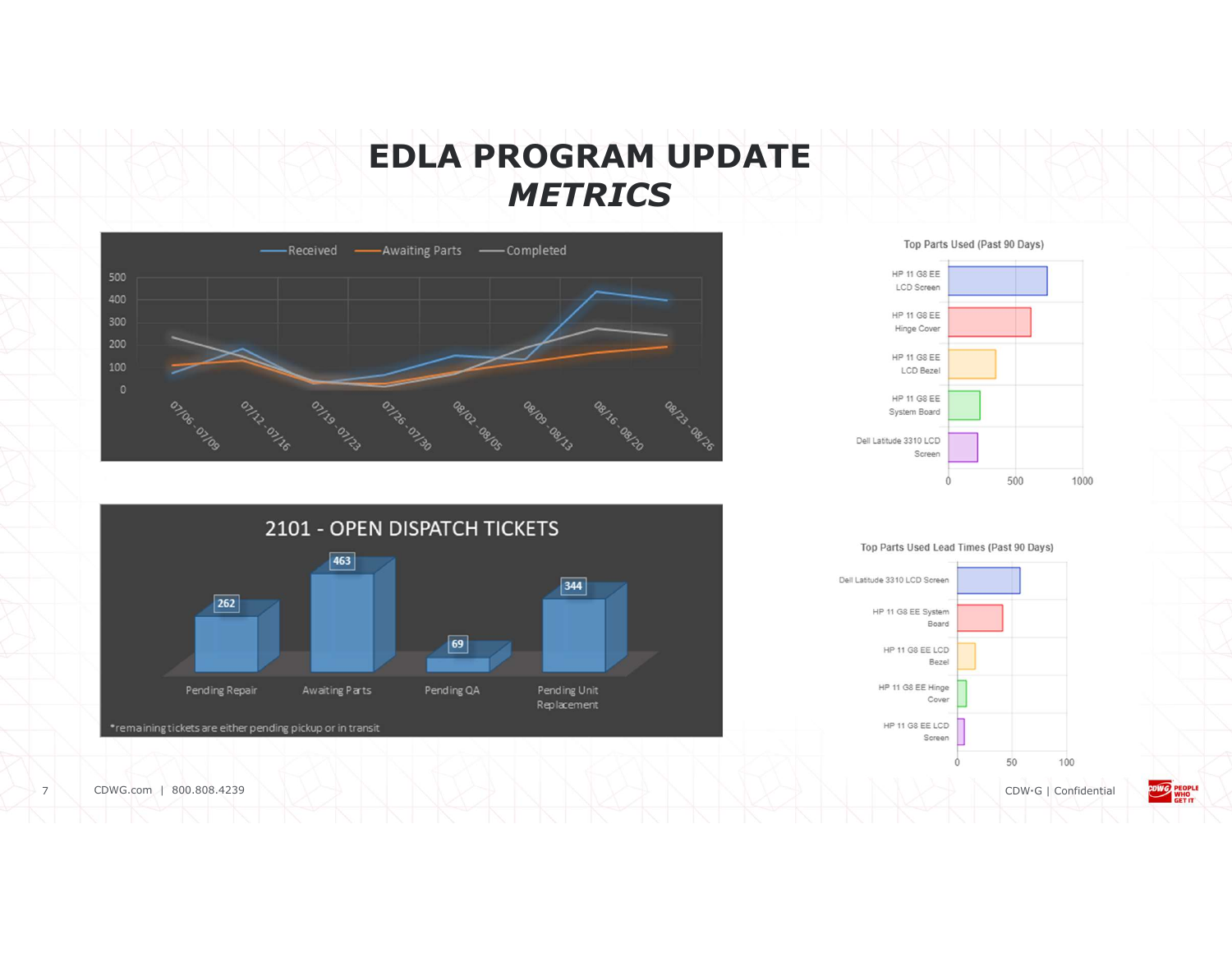## EDLA PROGRAM UPDATE **METRICS**









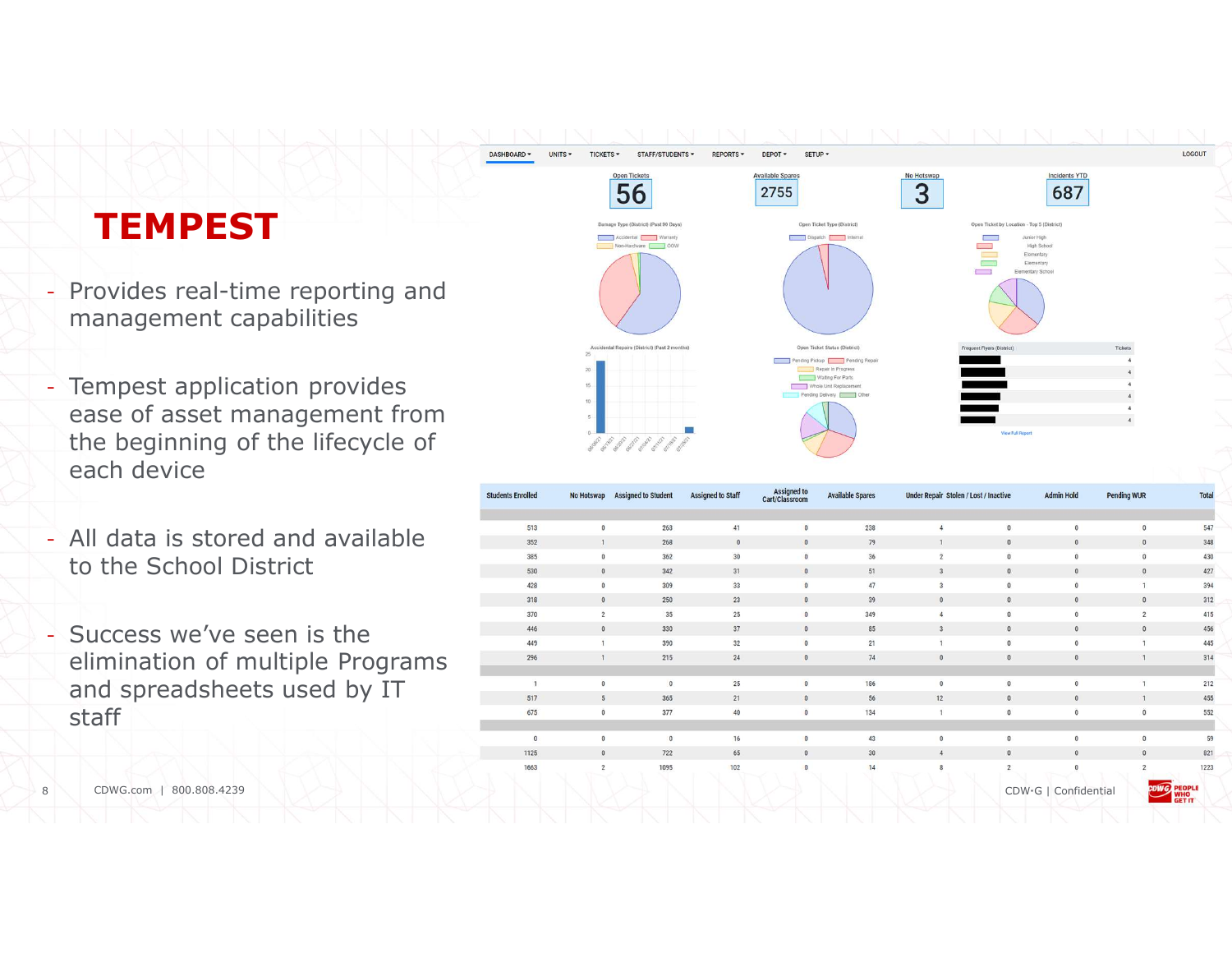# **TEMPEST**

management capabilities

DASHROARD -

- Tempest application provides ease of asset management from the beginning of the lifecycle of each device
- All data is stored and available to the School District
- Success we've seen is the elimination of multiple Programs and spreadsheets used by IT staff



|                                                                                                                     | - Provides real-time reporting and<br>management capabilities | idental Repairs (District) (Past 2 months |                                               |              |                                                                                                                                  |                               | Open Ticket Status (District | Frequent Flyers (District)<br>Tickets        |                |                      |                         |                            |
|---------------------------------------------------------------------------------------------------------------------|---------------------------------------------------------------|-------------------------------------------|-----------------------------------------------|--------------|----------------------------------------------------------------------------------------------------------------------------------|-------------------------------|------------------------------|----------------------------------------------|----------------|----------------------|-------------------------|----------------------------|
| - Tempest application provides<br>ease of asset management from<br>the beginning of the lifecycle of<br>each device |                                                               |                                           | outer as the party and a meeting of an or and |              | Pending Pickup Pending Repair<br>Repair In Progress<br>Waiting For Parts<br>Whole Unit Replacement<br>Pending Delivery [ ] Other |                               | <b>Jew Full Report</b>       |                                              |                |                      |                         |                            |
|                                                                                                                     |                                                               | <b>Students Enrolled</b>                  | No Hotswap<br><b>Assigned to Student</b>      |              | <b>Assigned to Staff</b>                                                                                                         | Assigned to<br>Cart/Classroom | <b>Available Spares</b>      | <b>Under Repair Stolen / Lost / Inactive</b> |                | <b>Admin Hole</b>    | <b>Pending WUR</b>      | <b>Total</b>               |
|                                                                                                                     | - All data is stored and available<br>to the School District  | 513                                       |                                               | 263          | 41                                                                                                                               |                               | 238                          | $\Delta$                                     |                |                      | $\Omega$                | 547                        |
|                                                                                                                     |                                                               | 352                                       |                                               | 268          | $\Omega$                                                                                                                         |                               | 79                           |                                              |                |                      | $\Omega$                | 348                        |
|                                                                                                                     |                                                               | 385                                       |                                               | 362          | 30                                                                                                                               |                               | 36                           | $\overline{2}$                               |                |                      | $\Omega$                | 430                        |
|                                                                                                                     |                                                               | 530                                       | $\mathbf{0}$                                  | 342          | 31                                                                                                                               |                               | 51                           | $\overline{3}$                               |                |                      | $\mathbf{0}$            | 427                        |
|                                                                                                                     |                                                               | 428<br>318                                | $\Omega$                                      | 309<br>250   | 33<br>23                                                                                                                         |                               | 47<br>39                     | $\Omega$                                     |                |                      | $\mathbf{1}$<br>$\circ$ | 394<br>312                 |
|                                                                                                                     |                                                               | 370                                       | $\overline{2}$                                | 35           | 25                                                                                                                               |                               | 349                          |                                              |                |                      | $\overline{2}$          | 415                        |
|                                                                                                                     |                                                               | 446                                       |                                               | 330          | 37                                                                                                                               |                               | 85                           |                                              |                |                      | $\Omega$                | 456                        |
|                                                                                                                     | - Success we've seen is the                                   | 449                                       |                                               | 390          | 32                                                                                                                               |                               | 21                           |                                              |                |                      |                         | 445                        |
|                                                                                                                     | elimination of multiple Programs                              | 296                                       | $\overline{1}$                                | 215          | 24                                                                                                                               |                               | 74                           | $\Omega$                                     |                |                      |                         | 314                        |
|                                                                                                                     | and spreadsheets used by IT                                   | $\overline{1}$                            |                                               | $\Omega$     | 25                                                                                                                               | $\Omega$                      | 186                          | $\Omega$                                     |                |                      |                         | 212                        |
|                                                                                                                     |                                                               | 517                                       |                                               | 365          | 21                                                                                                                               |                               | 56                           | 12                                           |                |                      |                         | 455                        |
|                                                                                                                     | staff                                                         | 675                                       |                                               | 377          | 40                                                                                                                               |                               | 134                          |                                              |                |                      | $\mathbf{0}$            | 552                        |
|                                                                                                                     |                                                               | $\overline{0}$                            | $\Omega$                                      | $\mathbf{0}$ | 16                                                                                                                               | $\overline{0}$                | 43                           | $\mathbf{0}$                                 | $\overline{0}$ |                      | $\mathbf{0}$            | 59                         |
|                                                                                                                     |                                                               | 1125                                      |                                               | 722          | 65                                                                                                                               |                               | 30                           |                                              |                |                      | $\theta$                | 821                        |
| 8                                                                                                                   | CDWG.com   800.808.4239                                       | 1663                                      | $\overline{c}$                                | 1095         | 102                                                                                                                              |                               | 14                           |                                              |                | CDW·G   Confidential |                         | 1223<br><b>CDWG</b><br>WHO |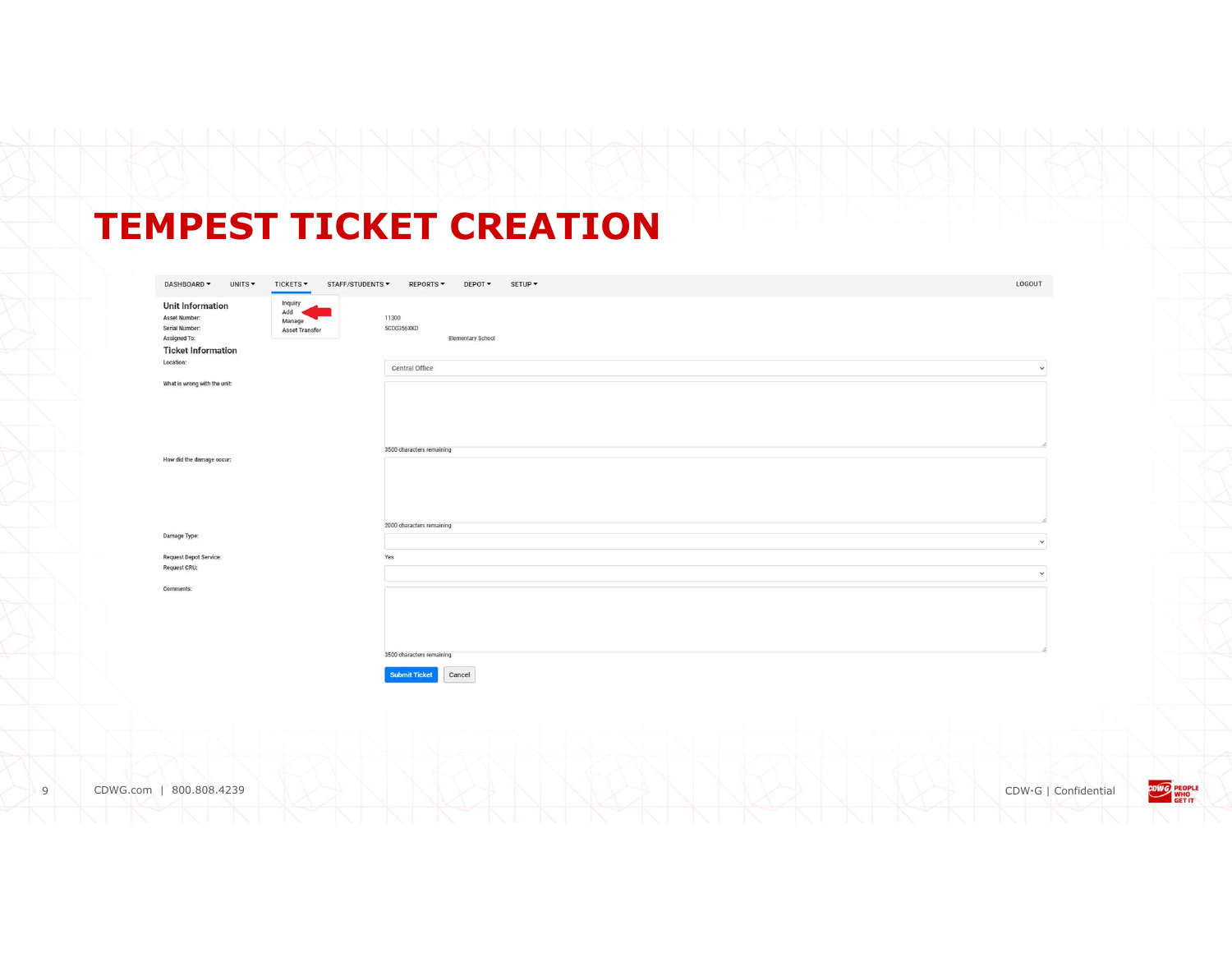# TEMPEST TICKET CREATION

| DASHBOARD -<br>UNITS -<br>TICKETS -<br>STAFF/STUDENTS -                                                                                                                    | REPORTS -<br>DEPOT -<br>SETUP -                 | LOGOUT       |
|----------------------------------------------------------------------------------------------------------------------------------------------------------------------------|-------------------------------------------------|--------------|
| Inquiry<br><b>Unit Information</b><br>Add<br>Asset Number:<br>Manage<br><b>Serial Number:</b><br><b>Asset Transfer</b><br><b>Assigned To:</b><br><b>Ticket Information</b> | 11300<br>5CD0356XKD<br><b>Elementary School</b> |              |
| Location:                                                                                                                                                                  | Central Office                                  | $\checkmark$ |
| What is wrong with the unit:                                                                                                                                               |                                                 |              |
|                                                                                                                                                                            |                                                 |              |
| How did the damage occur:                                                                                                                                                  | 3500 characters remaining                       |              |
|                                                                                                                                                                            | 2000 characters remaining                       |              |
| Damage Type:                                                                                                                                                               |                                                 | $\checkmark$ |
| <b>Request Depot Service:</b><br><b>Request CRU:</b>                                                                                                                       | Yes                                             | $\checkmark$ |
| Comments:                                                                                                                                                                  |                                                 |              |
|                                                                                                                                                                            |                                                 |              |
|                                                                                                                                                                            | 3500 characters remaining                       |              |
|                                                                                                                                                                            | <b>Submit Ticket</b><br>Cancel                  |              |

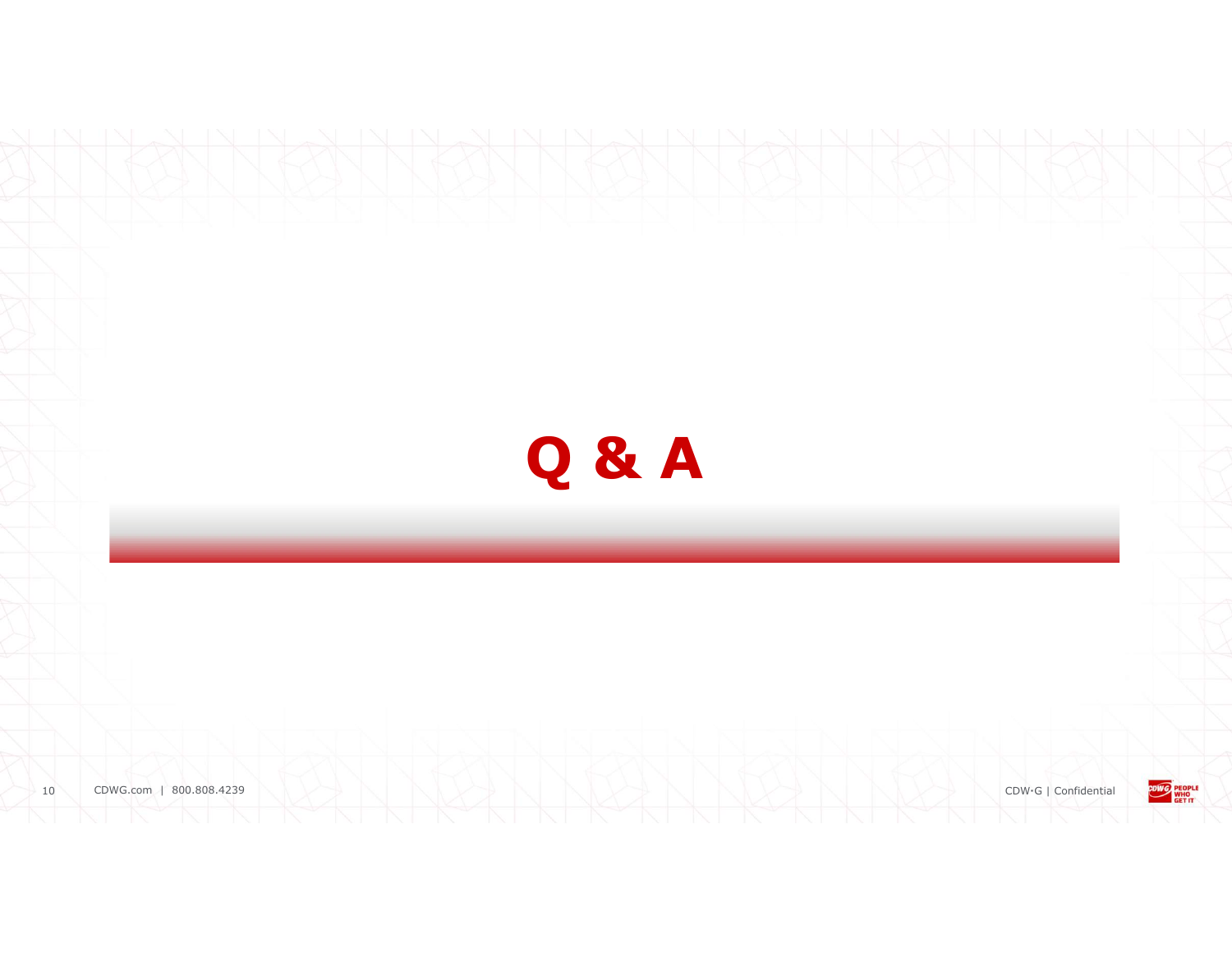

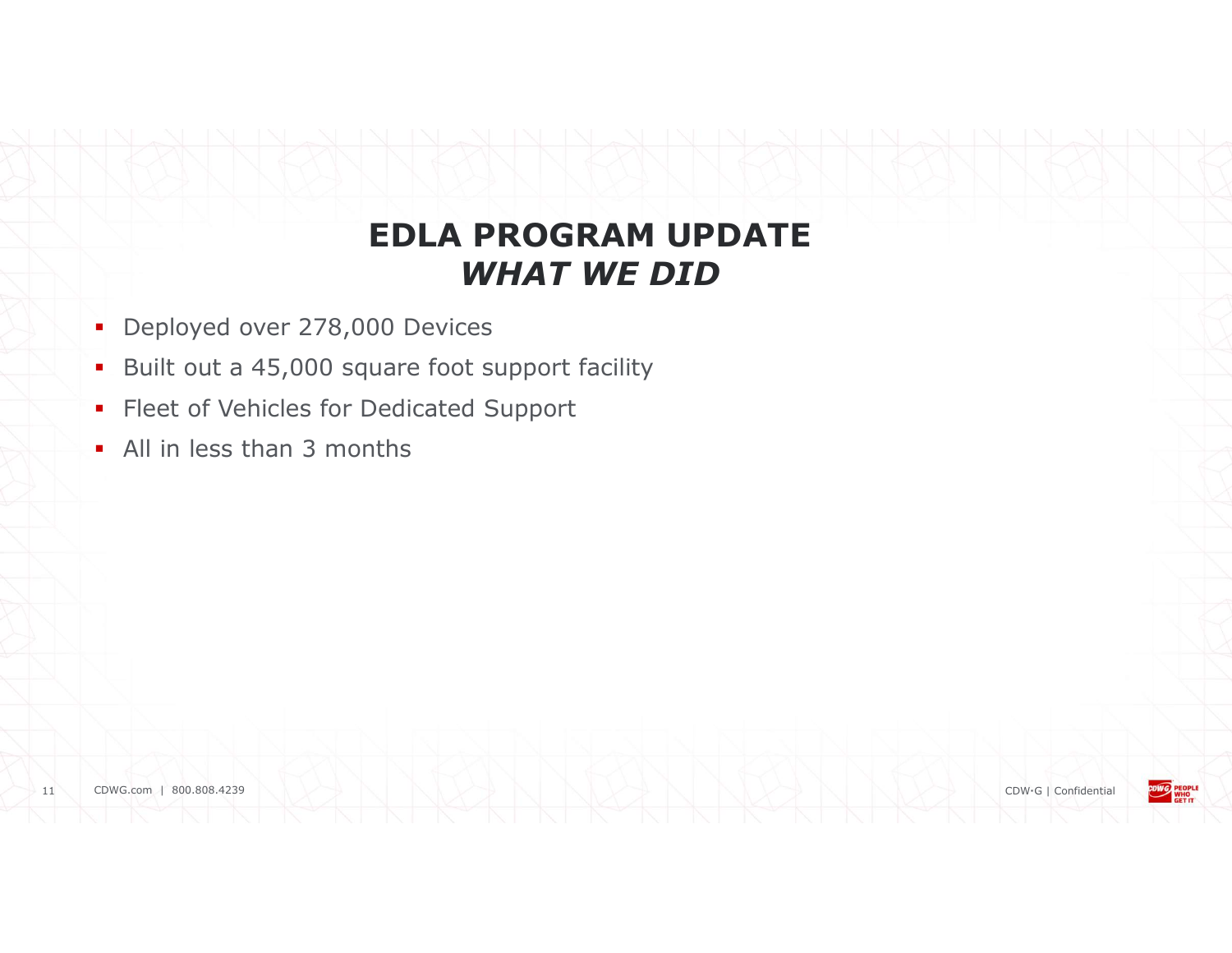#### EDLA PROGRAM UPDATE WHAT WE DID

- Deployed over 278,000 Devices
- Built out a 45,000 square foot support facility
- **Fleet of Vehicles for Dedicated Support**
- All in less than 3 months